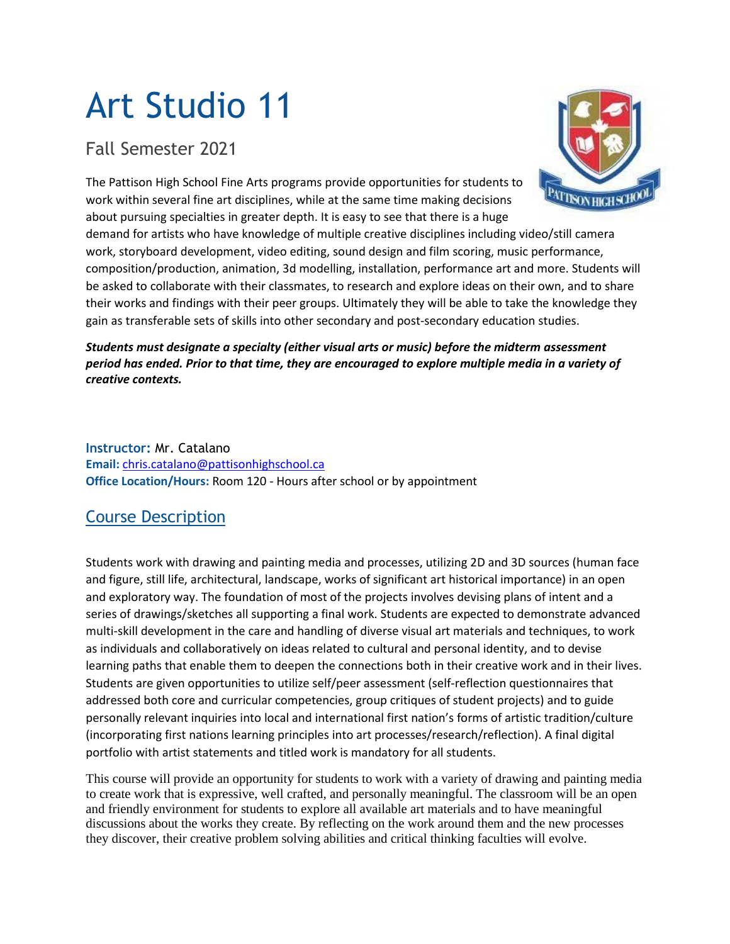# Art Studio 11

Fall Semester 2021

The Pattison High School Fine Arts programs provide opportunities for students to work within several fine art disciplines, while at the same time making decisions about pursuing specialties in greater depth. It is easy to see that there is a huge

demand for artists who have knowledge of multiple creative disciplines including video/still camera work, storyboard development, video editing, sound design and film scoring, music performance, composition/production, animation, 3d modelling, installation, performance art and more. Students will be asked to collaborate with their classmates, to research and explore ideas on their own, and to share their works and findings with their peer groups. Ultimately they will be able to take the knowledge they gain as transferable sets of skills into other secondary and post-secondary education studies.

# *Students must designate a specialty (either visual arts or music) before the midterm assessment* period has ended. Prior to that time, they are encouraged to explore multiple media in a variety of *creative contexts.*

**Instructor:** Mr. Catalano **Email:** [chris.catalano@pattisonhighschool.ca](mailto:chris.catalano@pattisonhighschool.ca) **Office Location/Hours:** Room 120 - Hours after school or by appointment

# Course Description

Students work with drawing and painting media and processes, utilizing 2D and 3D sources (human face and figure, still life, architectural, landscape, works of significant art historical importance) in an open and exploratory way. The foundation of most of the projects involves devising plans of intent and a series of drawings/sketches all supporting a final work. Students are expected to demonstrate advanced multi-skill development in the care and handling of diverse visual art materials and techniques, to work as individuals and collaboratively on ideas related to cultural and personal identity, and to devise learning paths that enable them to deepen the connections both in their creative work and in their lives. Students are given opportunities to utilize self/peer assessment (self-reflection questionnaires that addressed both core and curricular competencies, group critiques of student projects) and to guide personally relevant inquiries into local and international first nation's forms of artistic tradition/culture (incorporating first nations learning principles into art processes/research/reflection). A final digital portfolio with artist statements and titled work is mandatory for all students.

This course will provide an opportunity for students to work with a variety of drawing and painting media to create work that is expressive, well crafted, and personally meaningful. The classroom will be an open and friendly environment for students to explore all available art materials and to have meaningful discussions about the works they create. By reflecting on the work around them and the new processes they discover, their creative problem solving abilities and critical thinking faculties will evolve.

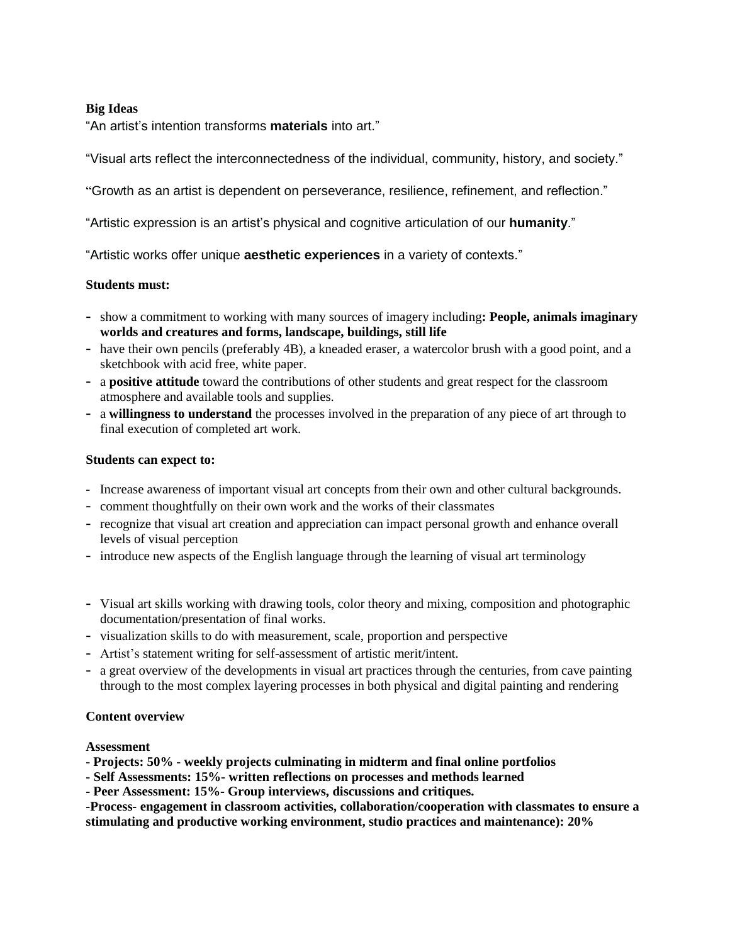## **Big Ideas**

"An artist's intention transforms **materials** into art."

"Visual arts reflect the interconnectedness of the individual, community, history, and society."

"Growth as an artist is dependent on perseverance, resilience, refinement, and reflection."

"Artistic expression is an artist's physical and cognitive articulation of our **humanity**."

"Artistic works offer unique **aesthetic experiences** in a variety of contexts."

## **Students must:**

- show a commitment to working with many sources of imagery including**: People, animals imaginary worlds and creatures and forms, landscape, buildings, still life**
- have their own pencils (preferably 4B), a kneaded eraser, a watercolor brush with a good point, and a sketchbook with acid free, white paper.
- a **positive attitude** toward the contributions of other students and great respect for the classroom atmosphere and available tools and supplies.
- a **willingness to understand** the processes involved in the preparation of any piece of art through to final execution of completed art work.

#### **Students can expect to:**

- Increase awareness of important visual art concepts from their own and other cultural backgrounds.
- comment thoughtfully on their own work and the works of their classmates
- recognize that visual art creation and appreciation can impact personal growth and enhance overall levels of visual perception
- introduce new aspects of the English language through the learning of visual art terminology
- Visual art skills working with drawing tools, color theory and mixing, composition and photographic documentation/presentation of final works.
- visualization skills to do with measurement, scale, proportion and perspective
- Artist's statement writing for self-assessment of artistic merit/intent.
- a great overview of the developments in visual art practices through the centuries, from cave painting through to the most complex layering processes in both physical and digital painting and rendering

#### **Content overview**

#### **Assessment**

- **- Projects: 50% - weekly projects culminating in midterm and final online portfolios**
- **- Self Assessments: 15%- written reflections on processes and methods learned**
- **- Peer Assessment: 15%- Group interviews, discussions and critiques.**

**-Process- engagement in classroom activities, collaboration/cooperation with classmates to ensure a stimulating and productive working environment, studio practices and maintenance): 20%**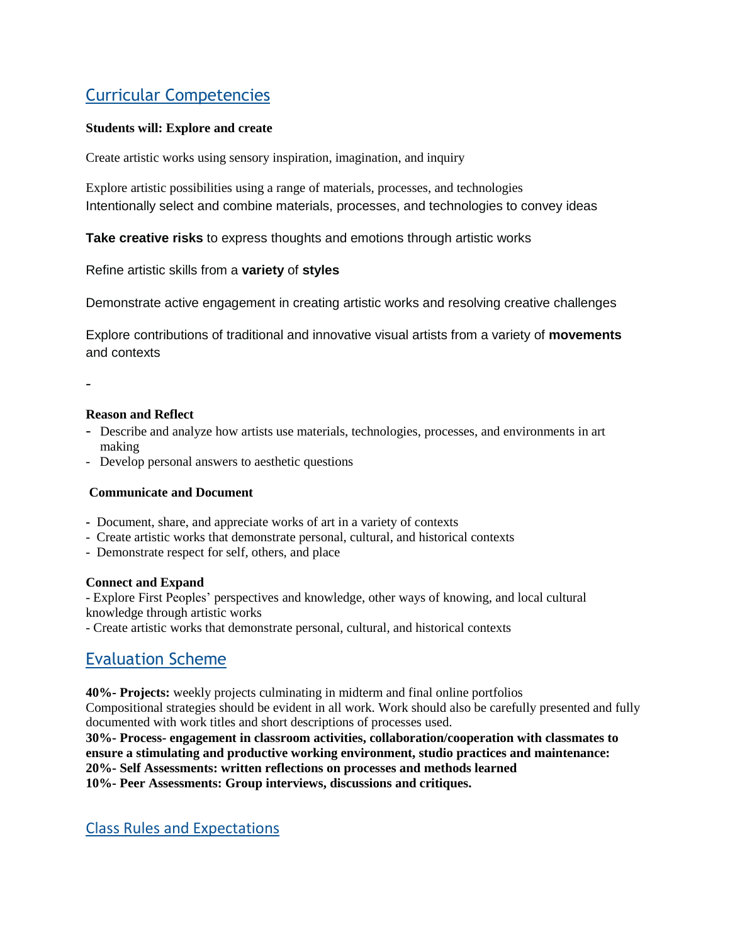# Curricular Competencies

# **Students will: Explore and create**

Create artistic works using sensory inspiration, imagination, and inquiry

Explore artistic possibilities using a range of materials, processes, and technologies Intentionally select and combine materials, processes, and technologies to convey ideas

**Take creative risks** to express thoughts and emotions through artistic works

Refine artistic skills from a **variety** of **styles**

Demonstrate active engagement in creating artistic works and resolving creative challenges

Explore contributions of traditional and innovative visual artists from a variety of **movements** and contexts

-

## **Reason and Reflect**

- Describe and analyze how artists use materials, technologies, processes, and environments in art making
- Develop personal answers to aesthetic questions

## **Communicate and Document**

- Document, share, and appreciate works of art in a variety of contexts
- Create artistic works that demonstrate personal, cultural, and historical contexts
- Demonstrate respect for self, others, and place

#### **Connect and Expand**

- Explore First Peoples' perspectives and knowledge, other ways of knowing, and local cultural knowledge through artistic works

- Create artistic works that demonstrate personal, cultural, and historical contexts

# Evaluation Scheme

**40%- Projects:** weekly projects culminating in midterm and final online portfolios Compositional strategies should be evident in all work. Work should also be carefully presented and fully documented with work titles and short descriptions of processes used.

**30%- Process- engagement in classroom activities, collaboration/cooperation with classmates to ensure a stimulating and productive working environment, studio practices and maintenance: 20%- Self Assessments: written reflections on processes and methods learned 10%- Peer Assessments: Group interviews, discussions and critiques.**

Class Rules and Expectations